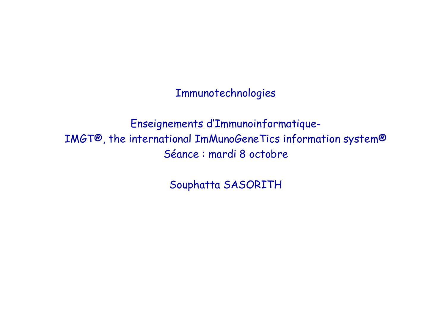Immunotechnologies

Enseignements d'Immunoinformatique-IMGT®, the international ImMunoGeneTics information system® Séance : mardi 8 octobre

Souphatta SASORITH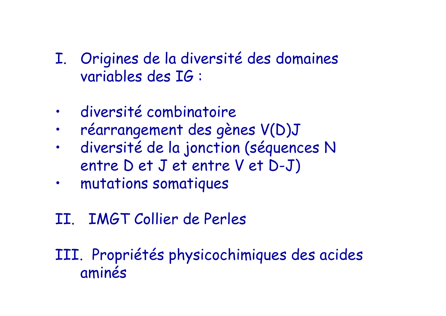- I. Origines de la diversité des domaines variables des IG :
- $\bullet$ diversité combinatoire
- •réarrangement des gènes V(D)J
- • diversité de la jonction (séquences N entre D et J et entre V et D-J)
- •mutations somatiques
- II. IMGT Collier de Perles

III. Propriétés physicochimiques des acides aminés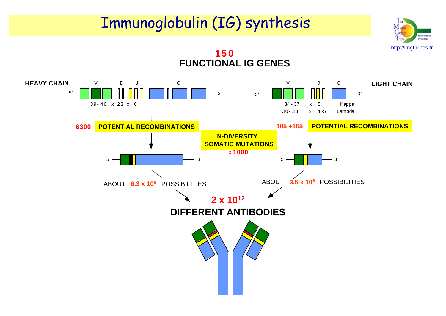#### Immunoglobulin (IG) synthesis

**150**

http://imgt.cines.fr

Information

system®

 $Im$ Munc Gene

Tics

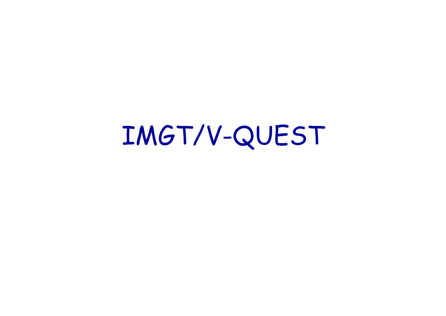# IMGT/V-QUEST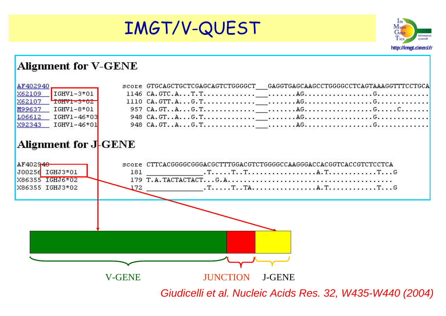



#### **Alignment for V-GENE** AF402940 score GTGCAGCTGCTCGAGCAGTCTGGGGCT  $-$ GAGGTGAGCAAGCCTGGGGCCTCAGTAAAGGTTTCCTGCA X62109  $TGHVI - 3*01$ X62107  $T$ <sub>U</sub> M99637  $T$ GHV1-8\*01 L06612  $IGHV1 - 46*03$ X92343  $TGHV1 - 46*01$ Alignment for J-GENE score CTTCACGGGGCGGGACGCTTTGGACGTCTGGGGCCAAGGGACCACGGTCACCGTCTCCTCA AF402940 J00256 IGHJ3\*01  $T_1, \ldots, T_{n}, T_{n+1}, \ldots, T_{n+1}, \ldots, T_{n+1}, \ldots, T_{n+1}, \ldots, T_{n+1}, \ldots, T_{n+1}, \ldots, T_{n+1}, \ldots, T_{n+1}, \ldots, T_{n+1}, \ldots, T_{n+1}, \ldots, T_{n+1}, \ldots, T_{n+1}, \ldots, T_{n+1}, \ldots, T_{n+1}, \ldots, T_{n+1}, \ldots, T_{n+1}, \ldots, T_{n+1}, \ldots, T_{n+1}, \ldots, T_{n+1}, \ldots, T_{n+1}, \ldots, T_{n+1}, \ld$ 181 X86355 IGHJ6\*02  $T_1, \ldots, T_n, T_A, \ldots, \ldots, \ldots, \ldots, A, T, \ldots, \ldots, \ldots, T, \ldots, G$ X86355 IGHJ3\*02 172. V-GENE**JUNCTION**  J-GENE *Giudicelli et al. Nucleic Acids Res. 32, W435-W440 (2004)*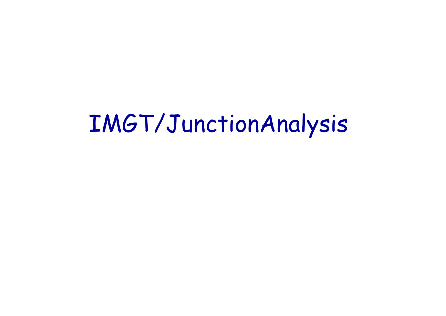# IMGT/JunctionAnalysis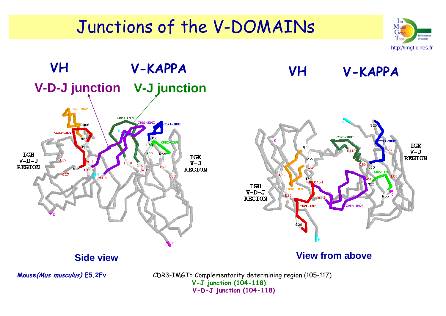## Junctions of the V-DOMAINs



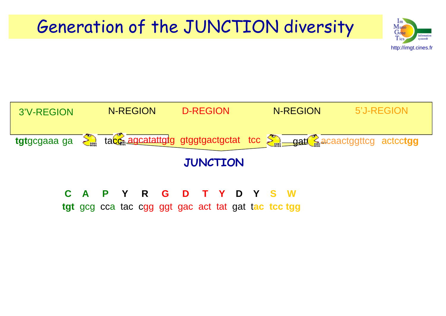## Generation of the JUNCTION diversity





**tgt** gcg cca tac cgg ggt gac act tat gat tac tcc tgg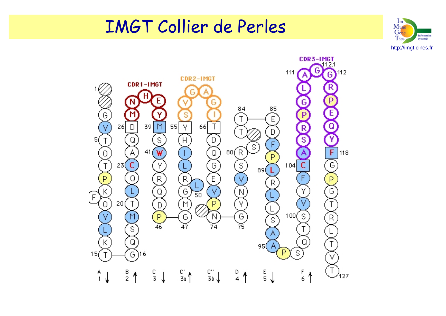### IMGT Collier de Perles